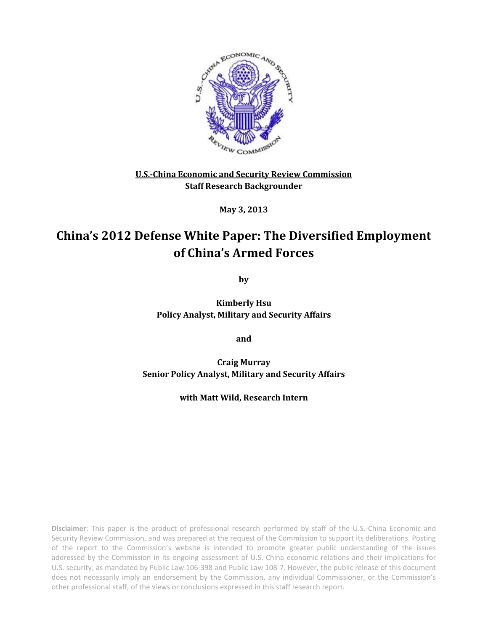

**U.S.-China Economic and Security Review Commission Staff Research Backgrounder**

**May 3, 2013**

# **China's 2012 Defense White Paper: The Diversified Employment of China's Armed Forces**

**by**

**Kimberly Hsu Policy Analyst, Military and Security Affairs**

**and**

**Craig Murray Senior Policy Analyst, Military and Security Affairs**

**with Matt Wild, Research Intern**

**Disclaimer**: This paper is the product of professional research performed by staff of the U.S.-China Economic and Security Review Commission, and was prepared at the request of the Commission to support its deliberations. Posting of the report to the Commission's website is intended to promote greater public understanding of the issues addressed by the Commission in its ongoing assessment of U.S.-China economic relations and their implications for U.S. security, as mandated by Public Law 106-398 and Public Law 108-7. However, the public release of this document does not necessarily imply an endorsement by the Commission, any individual Commissioner, or the Commission's other professional staff, of the views or conclusions expressed in this staff research report.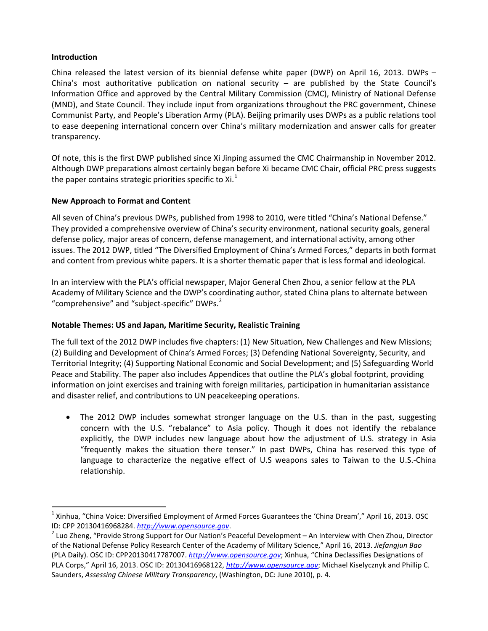# **Introduction**

China released the latest version of its biennial defense white paper (DWP) on April 16, 2013. DWPs – China's most authoritative publication on national security – are published by the State Council's Information Office and approved by the Central Military Commission (CMC), Ministry of National Defense (MND), and State Council. They include input from organizations throughout the PRC government, Chinese Communist Party, and People's Liberation Army (PLA). Beijing primarily uses DWPs as a public relations tool to ease deepening international concern over China's military modernization and answer calls for greater transparency.

Of note, this is the first DWP published since Xi Jinping assumed the CMC Chairmanship in November 2012. Although DWP preparations almost certainly began before Xi became CMC Chair, official PRC press suggests the paper contains strategic priorities specific to  $Xi^{1}$  $Xi^{1}$  $Xi^{1}$ 

# **New Approach to Format and Content**

All seven of China's previous DWPs, published from 1998 to 2010, were titled "China's National Defense." They provided a comprehensive overview of China's security environment, national security goals, general defense policy, major areas of concern, defense management, and international activity, among other issues. The 2012 DWP, titled "The Diversified Employment of China's Armed Forces," departs in both format and content from previous white papers. It is a shorter thematic paper that is less formal and ideological.

In an interview with the PLA's official newspaper, Major General Chen Zhou, a senior fellow at the PLA Academy of Military Science and the DWP's coordinating author, stated China plans to alternate between "comprehensive" and "subject-specific" DWPs. $<sup>2</sup>$  $<sup>2</sup>$  $<sup>2</sup>$ </sup>

#### **Notable Themes: US and Japan, Maritime Security, Realistic Training**

The full text of the 2012 DWP includes five chapters: (1) New Situation, New Challenges and New Missions; (2) Building and Development of China's Armed Forces; (3) Defending National Sovereignty, Security, and Territorial Integrity; (4) Supporting National Economic and Social Development; and (5) Safeguarding World Peace and Stability. The paper also includes Appendices that outline the PLA's global footprint, providing information on joint exercises and training with foreign militaries, participation in humanitarian assistance and disaster relief, and contributions to UN peacekeeping operations.

• The 2012 DWP includes somewhat stronger language on the U.S. than in the past, suggesting concern with the U.S. "rebalance" to Asia policy. Though it does not identify the rebalance explicitly, the DWP includes new language about how the adjustment of U.S. strategy in Asia "frequently makes the situation there tenser." In past DWPs, China has reserved this type of language to characterize the negative effect of U.S weapons sales to Taiwan to the U.S.-China relationship.

<span id="page-1-0"></span> $1$  Xinhua, "China Voice: Diversified Employment of Armed Forces Guarantees the 'China Dream'," April 16, 2013. OSC ID: CPP 20130416968284[.](http://www.opensource.gov/) *http://www.opensource.gov*.<br><sup>2</sup> Luo Zheng, "Provide Strong Support for Our Nation's Peaceful Development – An Interview with Chen Zhou, Director

<span id="page-1-1"></span>of the National Defense Policy Research Center of the Academy of Military Science," April 16, 2013. *Jiefangjun Bao* (PLA Daily). OSC ID: CPP20130417787007. *[http://www.opensource.gov](http://www.opensource.gov/)*; Xinhua, "China Declassifies Designations of PLA Corps," April 16, 2013. OSC ID: 20130416968122, *[http://www.opensource.gov](http://www.opensource.gov/)*; Michael Kiselycznyk and Phillip C. Saunders, *Assessing Chinese Military Transparency*, (Washington, DC: June 2010), p. 4.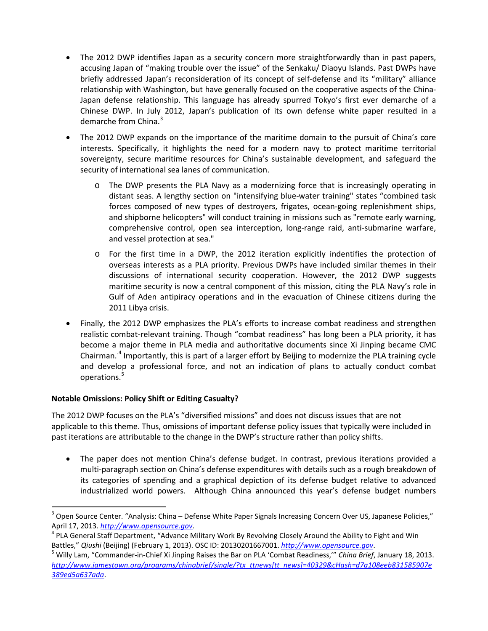- The 2012 DWP identifies Japan as a security concern more straightforwardly than in past papers, accusing Japan of "making trouble over the issue" of the Senkaku/ Diaoyu Islands. Past DWPs have briefly addressed Japan's reconsideration of its concept of self-defense and its "military" alliance relationship with Washington, but have generally focused on the cooperative aspects of the China-Japan defense relationship. This language has already spurred Tokyo's first ever demarche of a Chinese DWP. In July 2012, Japan's publication of its own defense white paper resulted in a demarche from China.<sup>[3](#page-2-0)</sup>
- The 2012 DWP expands on the importance of the maritime domain to the pursuit of China's core interests. Specifically, it highlights the need for a modern navy to protect maritime territorial sovereignty, secure maritime resources for China's sustainable development, and safeguard the security of international sea lanes of communication.
	- o The DWP presents the PLA Navy as a modernizing force that is increasingly operating in distant seas. A lengthy section on "intensifying blue-water training" states "combined task forces composed of new types of destroyers, frigates, ocean-going replenishment ships, and shipborne helicopters" will conduct training in missions such as "remote early warning, comprehensive control, open sea interception, long-range raid, anti-submarine warfare, and vessel protection at sea."
	- o For the first time in a DWP, the 2012 iteration explicitly indentifies the protection of overseas interests as a PLA priority. Previous DWPs have included similar themes in their discussions of international security cooperation. However, the 2012 DWP suggests maritime security is now a central component of this mission, citing the PLA Navy's role in Gulf of Aden antipiracy operations and in the evacuation of Chinese citizens during the 2011 Libya crisis.
- Finally, the 2012 DWP emphasizes the PLA's efforts to increase combat readiness and strengthen realistic combat-relevant training. Though "combat readiness" has long been a PLA priority, it has become a major theme in PLA media and authoritative documents since Xi Jinping became CMC Chairman..[4](#page-2-1) Importantly, this is part of a larger effort by Beijing to modernize the PLA training cycle and develop a professional force, and not an indication of plans to actually conduct combat operations.<sup>[5](#page-2-2)</sup>

# **Notable Omissions: Policy Shift or Editing Casualty?**

The 2012 DWP focuses on the PLA's "diversified missions" and does not discuss issues that are not applicable to this theme. Thus, omissions of important defense policy issues that typically were included in past iterations are attributable to the change in the DWP's structure rather than policy shifts.

• The paper does not mention China's defense budget. In contrast, previous iterations provided a multi-paragraph section on China's defense expenditures with details such as a rough breakdown of its categories of spending and a graphical depiction of its defense budget relative to advanced industrialized world powers. Although China announced this year's defense budget numbers

<span id="page-2-0"></span> $3$  Open Source Center. "Analysis: China – Defense White Paper Signals Increasing Concern Over US, Japanese Policies,"

<span id="page-2-1"></span>April 17, 2013[.](http://www.opensource.gov/) *http://www.opensource.gov*.<br><sup>4</sup> PLA General Staff Department, "Advance Military Work By Revolving Closely Around the Ability to Fight and Win

<span id="page-2-2"></span>Battles," Qiushi (Beijing) (February 1, 2013)[.](http://www.opensource.gov/) OSC ID: 20130201667001. *http://www.opensource.gov*.<br><sup>5</sup> Willy Lam, "Commander-in-Chief Xi Jinping Raises the Bar on PLA 'Combat Readiness,'" China Brief, January 18, 2013. *[http://www.jamestown.org/programs/chinabrief/single/?tx\\_ttnews\[tt\\_news\]=40329&cHash=d7a108eeb831585907e](http://www.jamestown.org/programs/chinabrief/single/?tx_ttnews%5btt_news%5d=40329&cHash=d7a108eeb831585907e389ed5a637ada) [389ed5a637ada](http://www.jamestown.org/programs/chinabrief/single/?tx_ttnews%5btt_news%5d=40329&cHash=d7a108eeb831585907e389ed5a637ada)*.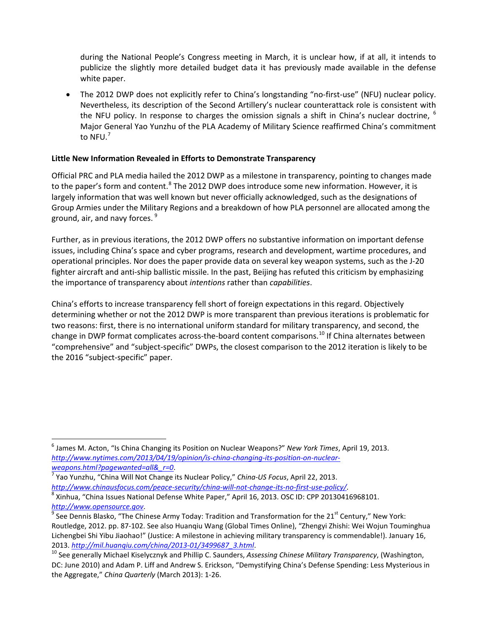during the National People's Congress meeting in March, it is unclear how, if at all, it intends to publicize the slightly more detailed budget data it has previously made available in the defense white paper.

• The 2012 DWP does not explicitly refer to China's longstanding "no-first-use" (NFU) nuclear policy. Nevertheless, its description of the Second Artillery's nuclear counterattack role is consistent with the NFU policy. In response to charges the omission signals a shift in China's nuclear doctrine,  $6$ Major General Yao Yunzhu of the PLA Academy of Military Science reaffirmed China's commitment to  $NFU.<sup>7</sup>$  $NFU.<sup>7</sup>$  $NFU.<sup>7</sup>$ 

# **Little New Information Revealed in Efforts to Demonstrate Transparency**

Official PRC and PLA media hailed the 2012 DWP as a milestone in transparency, pointing to changes made to the paper's form and content.<sup>[8](#page-3-2)</sup> The 2012 DWP does introduce some new information. However, it is largely information that was well known but never officially acknowledged, such as the designations of Group Armies under the Military Regions and a breakdown of how PLA personnel are allocated among the ground, air, and navy forces. <sup>[9](#page-3-3)</sup>

Further, as in previous iterations, the 2012 DWP offers no substantive information on important defense issues, including China's space and cyber programs, research and development, wartime procedures, and operational principles. Nor does the paper provide data on several key weapon systems, such as the J-20 fighter aircraft and anti-ship ballistic missile. In the past, Beijing has refuted this criticism by emphasizing the importance of transparency about *intentions* rather than *capabilities*.

China's efforts to increase transparency fell short of foreign expectations in this regard. Objectively determining whether or not the 2012 DWP is more transparent than previous iterations is problematic for two reasons: first, there is no international uniform standard for military transparency, and second, the change in DWP format complicates across-the-board content comparisons.<sup>[10](#page-3-4)</sup> If China alternates between "comprehensive" and "subject-specific" DWPs, the closest comparison to the 2012 iteration is likely to be the 2016 "subject-specific" paper.

<span id="page-3-0"></span> <sup>6</sup> James M. Acton, "Is China Changing its Position on Nuclear Weapons?" *New York Times*, April 19, 2013. *[http://www.nytimes.com/2013/04/19/opinion/is-china-changing-its-position-on-nuclear](http://www.nytimes.com/2013/04/19/opinion/is-china-changing-its-position-on-nuclear-weapons.html?pagewanted=all&_r=0)weapons.html?pagewanted=all&\_r=0*[.](http://www.nytimes.com/2013/04/19/opinion/is-china-changing-its-position-on-nuclear-weapons.html?pagewanted=all&_r=0) [7](http://www.nytimes.com/2013/04/19/opinion/is-china-changing-its-position-on-nuclear-weapons.html?pagewanted=all&_r=0) Yao Yunzhu, "China Will Not Change its Nuclear Policy," *China-US Focus*, April 22, 2013.

<span id="page-3-1"></span>

<span id="page-3-2"></span>*http://www.chinausfocus.com/peace-security/china-will-not-change-its-no-first-use-policy/*[.](http://www.chinausfocus.com/peace-security/china-will-not-change-its-no-first-use-policy/) [8](http://www.chinausfocus.com/peace-security/china-will-not-change-its-no-first-use-policy/) Xinhua, "China Issues National Defense White Paper," April 16, 2013. OSC ID: CPP 20130416968101.

<span id="page-3-3"></span>*[http://www.opensource.gov](http://www.opensource.gov/)*.<br><sup>9</sup> See Dennis Blasko, "The Chinese Army Today: Tradition and Transformation for the 21<sup>st</sup> Century," New York: Routledge, 2012. pp. 87-102. See also Huanqiu Wang (Global Times Online), "Zhengyi Zhishi: Wei Wojun Touminghua Lichengbei Shi Yibu Jiaohao!" (Justice: A milestone in achieving military transparency is commendable!). January 16, 2013[.](http://mil.huanqiu.com/china/2013-01/3499687_3.html) <u>http://mil.huanqiu.com/china/2013-01/3499687\_3.html</u>.<br><sup>10</sup> See generally Michael Kiselycznyk and Phillip C. Saunders, *Assessing Chinese Military Transparency,* (Washington,

<span id="page-3-4"></span>DC: June 2010) and Adam P. Liff and Andrew S. Erickson, "Demystifying China's Defense Spending: Less Mysterious in the Aggregate," *China Quarterly* (March 2013): 1-26.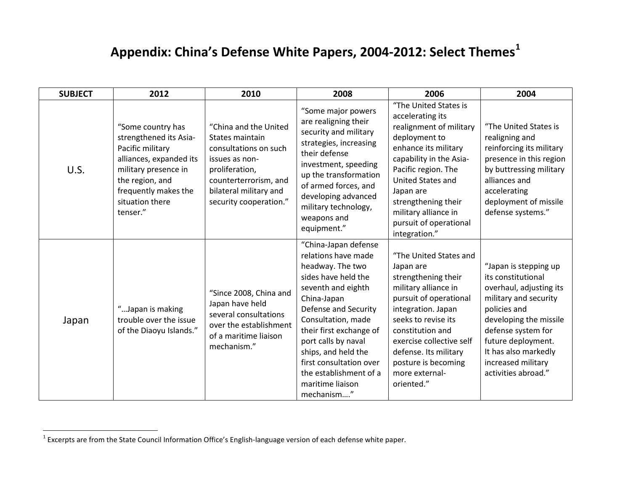# <span id="page-4-0"></span>**Appendix: China's Defense White Papers, 2004-2012: Select Themes[1](#page-4-0)**

| <b>SUBJECT</b> | 2012                                                                                                                                                                                         | 2010                                                                                                                                                                               | 2008                                                                                                                                                                                                                                                                                                                                      | 2006                                                                                                                                                                                                                                                                                        | 2004                                                                                                                                                                                                                                                       |
|----------------|----------------------------------------------------------------------------------------------------------------------------------------------------------------------------------------------|------------------------------------------------------------------------------------------------------------------------------------------------------------------------------------|-------------------------------------------------------------------------------------------------------------------------------------------------------------------------------------------------------------------------------------------------------------------------------------------------------------------------------------------|---------------------------------------------------------------------------------------------------------------------------------------------------------------------------------------------------------------------------------------------------------------------------------------------|------------------------------------------------------------------------------------------------------------------------------------------------------------------------------------------------------------------------------------------------------------|
| U.S.           | "Some country has<br>strengthened its Asia-<br>Pacific military<br>alliances, expanded its<br>military presence in<br>the region, and<br>frequently makes the<br>situation there<br>tenser." | "China and the United<br>States maintain<br>consultations on such<br>issues as non-<br>proliferation,<br>counterterrorism, and<br>bilateral military and<br>security cooperation." | "Some major powers<br>are realigning their<br>security and military<br>strategies, increasing<br>their defense<br>investment, speeding<br>up the transformation<br>of armed forces, and<br>developing advanced<br>military technology,<br>weapons and<br>equipment."                                                                      | "The United States is<br>accelerating its<br>realignment of military<br>deployment to<br>enhance its military<br>capability in the Asia-<br>Pacific region. The<br>United States and<br>Japan are<br>strengthening their<br>military alliance in<br>pursuit of operational<br>integration." | "The United States is<br>realigning and<br>reinforcing its military<br>presence in this region<br>by buttressing military<br>alliances and<br>accelerating<br>deployment of missile<br>defense systems."                                                   |
| Japan          | "Japan is making<br>trouble over the issue<br>of the Diaoyu Islands."                                                                                                                        | "Since 2008, China and<br>Japan have held<br>several consultations<br>over the establishment<br>of a maritime liaison<br>mechanism."                                               | "China-Japan defense<br>relations have made<br>headway. The two<br>sides have held the<br>seventh and eighth<br>China-Japan<br>Defense and Security<br>Consultation, made<br>their first exchange of<br>port calls by naval<br>ships, and held the<br>first consultation over<br>the establishment of a<br>maritime liaison<br>mechanism" | "The United States and<br>Japan are<br>strengthening their<br>military alliance in<br>pursuit of operational<br>integration. Japan<br>seeks to revise its<br>constitution and<br>exercise collective self<br>defense. Its military<br>posture is becoming<br>more external-<br>oriented."   | "Japan is stepping up<br>its constitutional<br>overhaul, adjusting its<br>military and security<br>policies and<br>developing the missile<br>defense system for<br>future deployment.<br>It has also markedly<br>increased military<br>activities abroad." |

 $1$  Excerpts are from the State Council Information Office's English-language version of each defense white paper.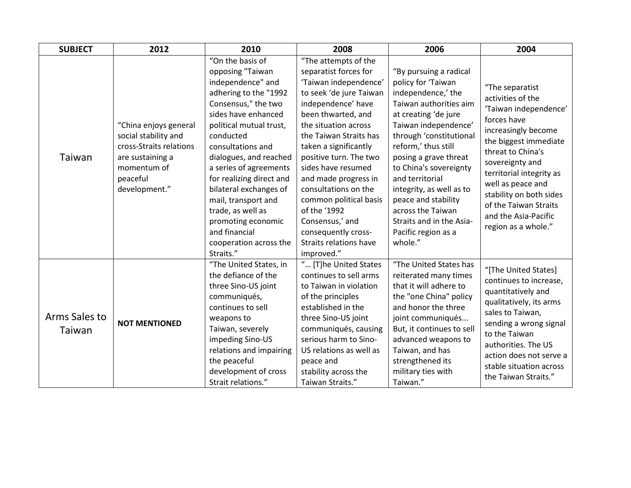| <b>SUBJECT</b>          | 2012                      | 2010                     | 2008                          | 2006                      | 2004                                                                                                                                                                                                                                                                |
|-------------------------|---------------------------|--------------------------|-------------------------------|---------------------------|---------------------------------------------------------------------------------------------------------------------------------------------------------------------------------------------------------------------------------------------------------------------|
|                         |                           | "On the basis of         | "The attempts of the          |                           | "The separatist<br>activities of the<br>'Taiwan independence'<br>forces have<br>increasingly become<br>the biggest immediate                                                                                                                                        |
|                         |                           | opposing "Taiwan         | separatist forces for         | "By pursuing a radical    |                                                                                                                                                                                                                                                                     |
|                         |                           | independence" and        | 'Taiwan independence'         | policy for 'Taiwan        |                                                                                                                                                                                                                                                                     |
|                         |                           | adhering to the "1992    | to seek 'de jure Taiwan       | independence,' the        |                                                                                                                                                                                                                                                                     |
|                         |                           | Consensus," the two      | independence' have            | Taiwan authorities aim    |                                                                                                                                                                                                                                                                     |
|                         |                           | sides have enhanced      | been thwarted, and            | at creating 'de jure      |                                                                                                                                                                                                                                                                     |
|                         | "China enjoys general     | political mutual trust,  | the situation across          | Taiwan independence'      |                                                                                                                                                                                                                                                                     |
|                         | social stability and      | conducted                | the Taiwan Straits has        | through 'constitutional   |                                                                                                                                                                                                                                                                     |
|                         | cross-Straits relations   | consultations and        | taken a significantly         | reform,' thus still       | threat to China's                                                                                                                                                                                                                                                   |
| Taiwan                  | are sustaining a          | dialogues, and reached   | positive turn. The two        | posing a grave threat     | sovereignty and                                                                                                                                                                                                                                                     |
|                         | momentum of               | a series of agreements   | sides have resumed            | to China's sovereignty    | territorial integrity as                                                                                                                                                                                                                                            |
|                         | peaceful<br>development." | for realizing direct and | and made progress in          | and territorial           | well as peace and<br>stability on both sides<br>of the Taiwan Straits<br>and the Asia-Pacific<br>region as a whole."                                                                                                                                                |
|                         |                           | bilateral exchanges of   | consultations on the          | integrity, as well as to  |                                                                                                                                                                                                                                                                     |
|                         |                           | mail, transport and      | common political basis        | peace and stability       |                                                                                                                                                                                                                                                                     |
|                         |                           | trade, as well as        | of the '1992                  | across the Taiwan         |                                                                                                                                                                                                                                                                     |
|                         |                           | promoting economic       | Consensus,' and               | Straits and in the Asia-  |                                                                                                                                                                                                                                                                     |
|                         |                           | and financial            | consequently cross-           | Pacific region as a       |                                                                                                                                                                                                                                                                     |
|                         |                           | cooperation across the   | <b>Straits relations have</b> | whole."                   |                                                                                                                                                                                                                                                                     |
|                         |                           | Straits."                | improved."                    |                           |                                                                                                                                                                                                                                                                     |
|                         | <b>NOT MENTIONED</b>      | "The United States, in   | " [T]he United States         | "The United States has    | "[The United States]<br>continues to increase,<br>quantitatively and<br>qualitatively, its arms<br>sales to Taiwan,<br>sending a wrong signal<br>to the Taiwan<br>authorities. The US<br>action does not serve a<br>stable situation across<br>the Taiwan Straits." |
| Arms Sales to<br>Taiwan |                           | the defiance of the      | continues to sell arms        | reiterated many times     |                                                                                                                                                                                                                                                                     |
|                         |                           | three Sino-US joint      | to Taiwan in violation        | that it will adhere to    |                                                                                                                                                                                                                                                                     |
|                         |                           | communiqués,             | of the principles             | the "one China" policy    |                                                                                                                                                                                                                                                                     |
|                         |                           | continues to sell        | established in the            | and honor the three       |                                                                                                                                                                                                                                                                     |
|                         |                           | weapons to               | three Sino-US joint           | joint communiqués         |                                                                                                                                                                                                                                                                     |
|                         |                           | Taiwan, severely         | communiqués, causing          | But, it continues to sell |                                                                                                                                                                                                                                                                     |
|                         |                           | impeding Sino-US         | serious harm to Sino-         | advanced weapons to       |                                                                                                                                                                                                                                                                     |
|                         |                           | relations and impairing  | US relations as well as       | Taiwan, and has           |                                                                                                                                                                                                                                                                     |
|                         |                           | the peaceful             | peace and                     | strengthened its          |                                                                                                                                                                                                                                                                     |
|                         |                           | development of cross     | stability across the          | military ties with        |                                                                                                                                                                                                                                                                     |
|                         |                           | Strait relations."       | Taiwan Straits."              | Taiwan."                  |                                                                                                                                                                                                                                                                     |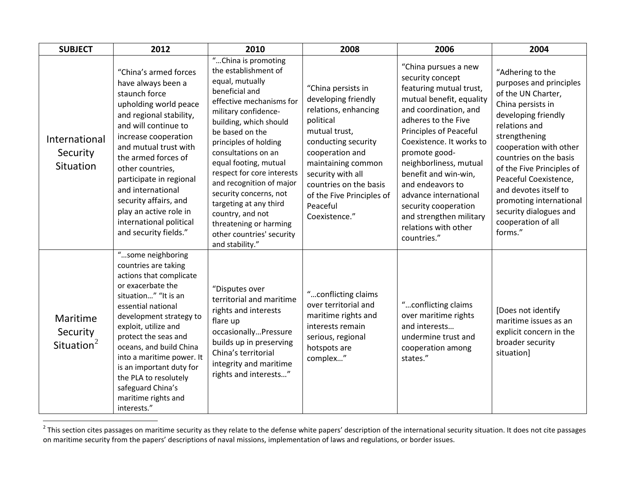<span id="page-6-0"></span>

| <b>SUBJECT</b>                                 | 2012                                                                                                                                                                                                                                                                                                                                                                                        | 2010                                                                                                                                                                                                                                                                                                                                                                                                                                                                   | 2008                                                                                                                                                                                                                                                                     | 2006                                                                                                                                                                                                                                                                                                                                                                                                                   | 2004                                                                                                                                                                                                                                                                                                                                                                     |
|------------------------------------------------|---------------------------------------------------------------------------------------------------------------------------------------------------------------------------------------------------------------------------------------------------------------------------------------------------------------------------------------------------------------------------------------------|------------------------------------------------------------------------------------------------------------------------------------------------------------------------------------------------------------------------------------------------------------------------------------------------------------------------------------------------------------------------------------------------------------------------------------------------------------------------|--------------------------------------------------------------------------------------------------------------------------------------------------------------------------------------------------------------------------------------------------------------------------|------------------------------------------------------------------------------------------------------------------------------------------------------------------------------------------------------------------------------------------------------------------------------------------------------------------------------------------------------------------------------------------------------------------------|--------------------------------------------------------------------------------------------------------------------------------------------------------------------------------------------------------------------------------------------------------------------------------------------------------------------------------------------------------------------------|
| International<br>Security<br>Situation         | "China's armed forces<br>have always been a<br>staunch force<br>upholding world peace<br>and regional stability,<br>and will continue to<br>increase cooperation<br>and mutual trust with<br>the armed forces of<br>other countries,<br>participate in regional<br>and international<br>security affairs, and<br>play an active role in<br>international political<br>and security fields." | "China is promoting<br>the establishment of<br>equal, mutually<br>beneficial and<br>effective mechanisms for<br>military confidence-<br>building, which should<br>be based on the<br>principles of holding<br>consultations on an<br>equal footing, mutual<br>respect for core interests<br>and recognition of major<br>security concerns, not<br>targeting at any third<br>country, and not<br>threatening or harming<br>other countries' security<br>and stability." | "China persists in<br>developing friendly<br>relations, enhancing<br>political<br>mutual trust,<br>conducting security<br>cooperation and<br>maintaining common<br>security with all<br>countries on the basis<br>of the Five Principles of<br>Peaceful<br>Coexistence." | "China pursues a new<br>security concept<br>featuring mutual trust,<br>mutual benefit, equality<br>and coordination, and<br>adheres to the Five<br><b>Principles of Peaceful</b><br>Coexistence. It works to<br>promote good-<br>neighborliness, mutual<br>benefit and win-win,<br>and endeavors to<br>advance international<br>security cooperation<br>and strengthen military<br>relations with other<br>countries." | "Adhering to the<br>purposes and principles<br>of the UN Charter,<br>China persists in<br>developing friendly<br>relations and<br>strengthening<br>cooperation with other<br>countries on the basis<br>of the Five Principles of<br>Peaceful Coexistence,<br>and devotes itself to<br>promoting international<br>security dialogues and<br>cooperation of all<br>forms." |
| Maritime<br>Security<br>Situation <sup>2</sup> | "some neighboring<br>countries are taking<br>actions that complicate<br>or exacerbate the<br>situation" "It is an<br>essential national<br>development strategy to<br>exploit, utilize and<br>protect the seas and<br>oceans, and build China<br>into a maritime power. It<br>is an important duty for<br>the PLA to resolutely<br>safeguard China's<br>maritime rights and<br>interests."  | "Disputes over<br>territorial and maritime<br>rights and interests<br>flare up<br>occasionallyPressure<br>builds up in preserving<br>China's territorial<br>integrity and maritime<br>rights and interests"                                                                                                                                                                                                                                                            | "conflicting claims<br>over territorial and<br>maritime rights and<br>interests remain<br>serious, regional<br>hotspots are<br>complex"                                                                                                                                  | "conflicting claims<br>over maritime rights<br>and interests<br>undermine trust and<br>cooperation among<br>states."                                                                                                                                                                                                                                                                                                   | [Does not identify<br>maritime issues as an<br>explicit concern in the<br>broader security<br>situation]                                                                                                                                                                                                                                                                 |

 $\frac{2}{T}$ This section cites passages on maritime security as they relate to the defense white papers' description of the international security situation. It does not cite passages on maritime security from the papers' descriptions of naval missions, implementation of laws and regulations, or border issues.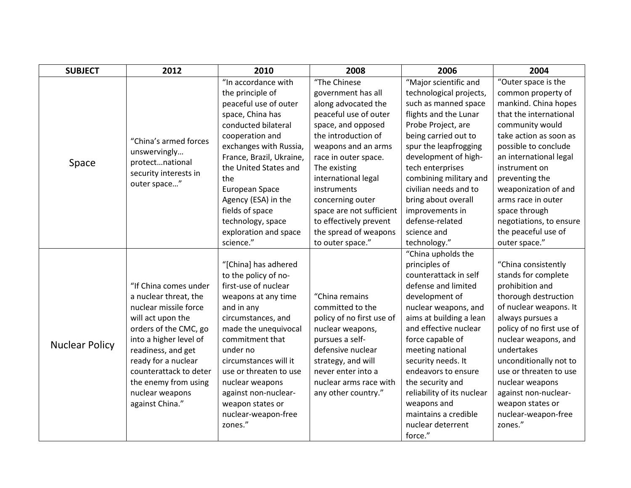| <b>SUBJECT</b>        | 2012                                  | 2010                     | 2008                      | 2006                       | 2004                      |
|-----------------------|---------------------------------------|--------------------------|---------------------------|----------------------------|---------------------------|
|                       | "China's armed forces<br>unswervingly | "In accordance with      | "The Chinese              | "Major scientific and      | "Outer space is the       |
|                       |                                       | the principle of         | government has all        | technological projects,    | common property of        |
|                       |                                       | peaceful use of outer    | along advocated the       | such as manned space       | mankind. China hopes      |
|                       |                                       | space, China has         | peaceful use of outer     | flights and the Lunar      | that the international    |
|                       |                                       | conducted bilateral      | space, and opposed        | Probe Project, are         | community would           |
|                       |                                       | cooperation and          | the introduction of       | being carried out to       | take action as soon as    |
|                       |                                       | exchanges with Russia,   | weapons and an arms       | spur the leapfrogging      | possible to conclude      |
| Space                 | protectnational                       | France, Brazil, Ukraine, | race in outer space.      | development of high-       | an international legal    |
|                       | security interests in                 | the United States and    | The existing              | tech enterprises           | instrument on             |
|                       | outer space"                          | the                      | international legal       | combining military and     | preventing the            |
|                       |                                       | European Space           | instruments               | civilian needs and to      | weaponization of and      |
|                       |                                       | Agency (ESA) in the      | concerning outer          | bring about overall        | arms race in outer        |
|                       |                                       | fields of space          | space are not sufficient  | improvements in            | space through             |
|                       |                                       | technology, space        | to effectively prevent    | defense-related            | negotiations, to ensure   |
|                       |                                       | exploration and space    | the spread of weapons     | science and                | the peaceful use of       |
|                       |                                       | science."                | to outer space."          | technology."               | outer space."             |
|                       |                                       |                          |                           | "China upholds the         |                           |
|                       |                                       | "[China] has adhered     |                           | principles of              | "China consistently       |
|                       |                                       | to the policy of no-     |                           | counterattack in self      | stands for complete       |
|                       | "If China comes under                 | first-use of nuclear     |                           | defense and limited        | prohibition and           |
|                       | a nuclear threat, the                 | weapons at any time      | "China remains            | development of             | thorough destruction      |
|                       | nuclear missile force                 | and in any               | committed to the          | nuclear weapons, and       | of nuclear weapons. It    |
|                       | will act upon the                     | circumstances, and       | policy of no first use of | aims at building a lean    | always pursues a          |
|                       | orders of the CMC, go                 | made the unequivocal     | nuclear weapons,          | and effective nuclear      | policy of no first use of |
|                       | into a higher level of                | commitment that          | pursues a self-           | force capable of           | nuclear weapons, and      |
| <b>Nuclear Policy</b> | readiness, and get                    | under no                 | defensive nuclear         | meeting national           | undertakes                |
|                       | ready for a nuclear                   | circumstances will it    | strategy, and will        | security needs. It         | unconditionally not to    |
|                       | counterattack to deter                | use or threaten to use   | never enter into a        | endeavors to ensure        | use or threaten to use    |
|                       | the enemy from using                  | nuclear weapons          | nuclear arms race with    | the security and           | nuclear weapons           |
|                       | nuclear weapons                       | against non-nuclear-     | any other country."       | reliability of its nuclear | against non-nuclear-      |
|                       | against China."                       | weapon states or         |                           | weapons and                | weapon states or          |
|                       |                                       | nuclear-weapon-free      |                           | maintains a credible       | nuclear-weapon-free       |
|                       |                                       | zones."                  |                           | nuclear deterrent          | zones."                   |
|                       |                                       |                          |                           | force."                    |                           |